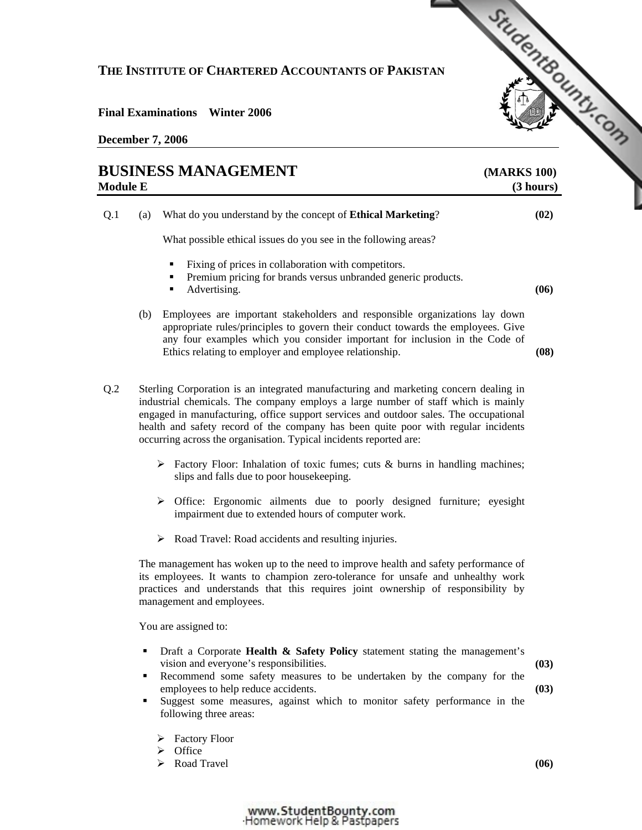## **THE INSTITUTE OF CHARTERED ACCOUNTANTS OF PAKISTAN**

## **Final Examinations Winter 2006**

|                 |     | THE INSTITUTE OF CHARTERED ACCOUNTANTS OF PAKISTAN                                                                                                                                                                                                                                                       | StudentBounty.com        |
|-----------------|-----|----------------------------------------------------------------------------------------------------------------------------------------------------------------------------------------------------------------------------------------------------------------------------------------------------------|--------------------------|
|                 |     | <b>Final Examinations</b> Winter 2006<br><b>December 7, 2006</b>                                                                                                                                                                                                                                         |                          |
| <b>Module E</b> |     | <b>BUSINESS MANAGEMENT</b>                                                                                                                                                                                                                                                                               | (MARKS 100)<br>(3 hours) |
| Q.1             | (a) | What do you understand by the concept of <b>Ethical Marketing</b> ?<br>What possible ethical issues do you see in the following areas?<br>Fixing of prices in collaboration with competitors.<br>Premium pricing for brands versus unbranded generic products.<br>٠<br>Advertising.                      | (02)<br>(06)             |
|                 | (b) | Employees are important stakeholders and responsible organizations lay down<br>appropriate rules/principles to govern their conduct towards the employees. Give<br>any four examples which you consider important for inclusion in the Code of<br>Ethics relating to employer and employee relationship. | (08)                     |

Q.2 Sterling Corporation is an integrated manufacturing and marketing concern dealing in industrial chemicals. The company employs a large number of staff which is mainly engaged in manufacturing, office support services and outdoor sales. The occupational health and safety record of the company has been quite poor with regular incidents occurring across the organisation. Typical incidents reported are:

- $\triangleright$  Factory Floor: Inhalation of toxic fumes; cuts & burns in handling machines; slips and falls due to poor housekeeping.
- ¾ Office: Ergonomic ailments due to poorly designed furniture; eyesight impairment due to extended hours of computer work.
- $\triangleright$  Road Travel: Road accidents and resulting injuries.

The management has woken up to the need to improve health and safety performance of its employees. It wants to champion zero-tolerance for unsafe and unhealthy work practices and understands that this requires joint ownership of responsibility by management and employees.

You are assigned to:

- Draft a Corporate **Health & Safety Policy** statement stating the management's vision and everyone's responsibilities.
- Recommend some safety measures to be undertaken by the company for the employees to help reduce accidents.
- Suggest some measures, against which to monitor safety performance in the following three areas:
	- $\triangleright$  Factory Floor
	- $\triangleright$  Office
	- ▶ Road Travel

**(06)** 

**(03)** 

**(03)**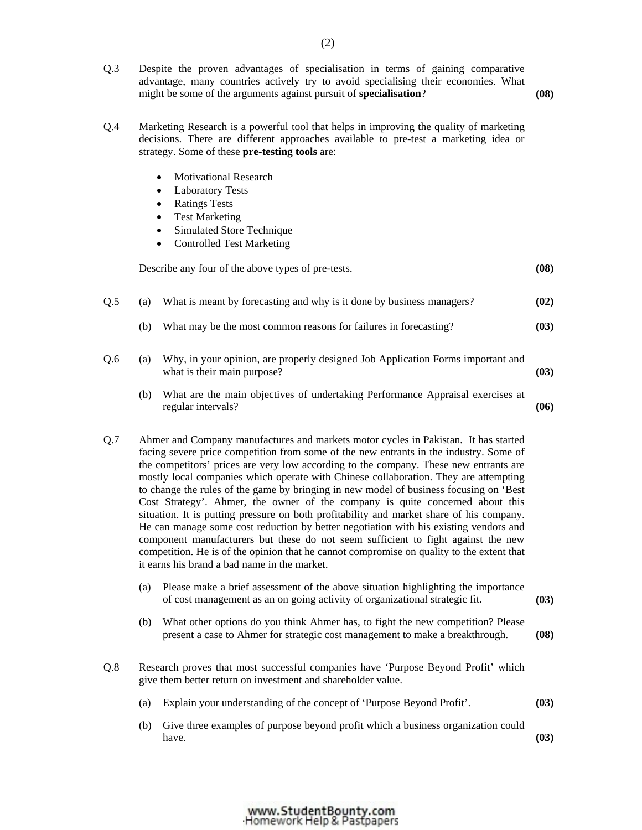- Q.3 Despite the proven advantages of specialisation in terms of gaining comparative advantage, many countries actively try to avoid specialising their economies. What might be some of the arguments against pursuit of **specialisation**? **(08)** 
	-
- Q.4 Marketing Research is a powerful tool that helps in improving the quality of marketing decisions. There are different approaches available to pre-test a marketing idea or strategy. Some of these **pre-testing tools** are:
	- **Motivational Research**
	- **Laboratory Tests**
	- Ratings Tests
	- Test Marketing
	- Simulated Store Technique
	- Controlled Test Marketing

|     |     | Describe any four of the above types of pre-tests.                                                             | (08) |
|-----|-----|----------------------------------------------------------------------------------------------------------------|------|
| Q.5 | (a) | What is meant by forecasting and why is it done by business managers?                                          | (02) |
|     | (b) | What may be the most common reasons for failures in forecasting?                                               | (03) |
| Q.6 | (a) | Why, in your opinion, are properly designed Job Application Forms important and<br>what is their main purpose? | (03) |
|     | (b) | What are the main objectives of undertaking Performance Appraisal exercises at<br>regular intervals?           | (06) |

- Q.7 Ahmer and Company manufactures and markets motor cycles in Pakistan. It has started facing severe price competition from some of the new entrants in the industry. Some of the competitors' prices are very low according to the company. These new entrants are mostly local companies which operate with Chinese collaboration. They are attempting to change the rules of the game by bringing in new model of business focusing on 'Best Cost Strategy'. Ahmer, the owner of the company is quite concerned about this situation. It is putting pressure on both profitability and market share of his company. He can manage some cost reduction by better negotiation with his existing vendors and component manufacturers but these do not seem sufficient to fight against the new competition. He is of the opinion that he cannot compromise on quality to the extent that it earns his brand a bad name in the market.
	- (a) Please make a brief assessment of the above situation highlighting the importance of cost management as an on going activity of organizational strategic fit. **(03)**
	- (b) What other options do you think Ahmer has, to fight the new competition? Please present a case to Ahmer for strategic cost management to make a breakthrough. **(08)**
- Q.8 Research proves that most successful companies have 'Purpose Beyond Profit' which give them better return on investment and shareholder value.
	- (a) Explain your understanding of the concept of 'Purpose Beyond Profit'. **(03)**
	- (b) Give three examples of purpose beyond profit which a business organization could have.  $(03)$

## www.StudentBounty.com Homework Help & Pastpapers